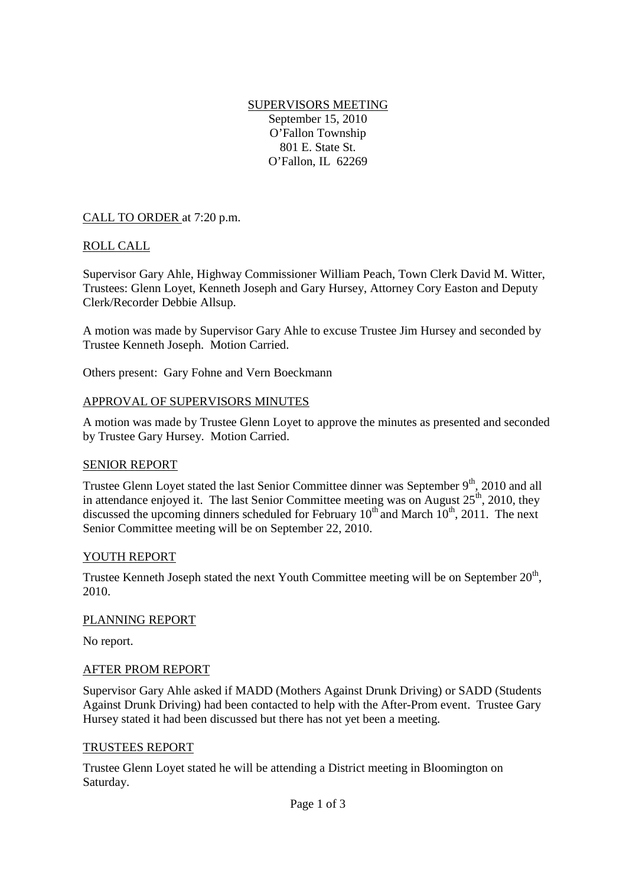## SUPERVISORS MEETING September 15, 2010 O'Fallon Township 801 E. State St. O'Fallon, IL 62269

CALL TO ORDER at 7:20 p.m.

# ROLL CALL

Supervisor Gary Ahle, Highway Commissioner William Peach, Town Clerk David M. Witter, Trustees: Glenn Loyet, Kenneth Joseph and Gary Hursey, Attorney Cory Easton and Deputy Clerk/Recorder Debbie Allsup.

A motion was made by Supervisor Gary Ahle to excuse Trustee Jim Hursey and seconded by Trustee Kenneth Joseph. Motion Carried.

Others present: Gary Fohne and Vern Boeckmann

## APPROVAL OF SUPERVISORS MINUTES

A motion was made by Trustee Glenn Loyet to approve the minutes as presented and seconded by Trustee Gary Hursey. Motion Carried.

## SENIOR REPORT

Trustee Glenn Loyet stated the last Senior Committee dinner was September  $9<sup>th</sup>$ , 2010 and all in attendance enjoyed it. The last Senior Committee meeting was on August  $25<sup>th</sup>$ , 2010, they discussed the upcoming dinners scheduled for February  $10^{th}$  and March  $10^{th}$ , 2011. The next Senior Committee meeting will be on September 22, 2010.

## YOUTH REPORT

Trustee Kenneth Joseph stated the next Youth Committee meeting will be on September  $20<sup>th</sup>$ , 2010.

## PLANNING REPORT

No report.

## AFTER PROM REPORT

Supervisor Gary Ahle asked if MADD (Mothers Against Drunk Driving) or SADD (Students Against Drunk Driving) had been contacted to help with the After-Prom event. Trustee Gary Hursey stated it had been discussed but there has not yet been a meeting.

#### TRUSTEES REPORT

Trustee Glenn Loyet stated he will be attending a District meeting in Bloomington on Saturday.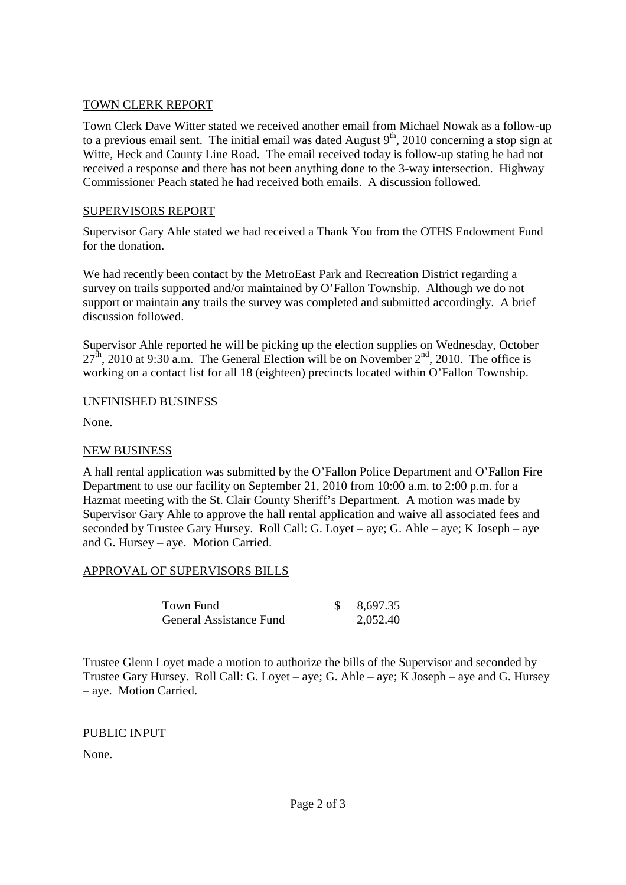# TOWN CLERK REPORT

Town Clerk Dave Witter stated we received another email from Michael Nowak as a follow-up to a previous email sent. The initial email was dated August  $9<sup>th</sup>$ , 2010 concerning a stop sign at Witte, Heck and County Line Road. The email received today is follow-up stating he had not received a response and there has not been anything done to the 3-way intersection. Highway Commissioner Peach stated he had received both emails. A discussion followed.

# SUPERVISORS REPORT

Supervisor Gary Ahle stated we had received a Thank You from the OTHS Endowment Fund for the donation.

We had recently been contact by the MetroEast Park and Recreation District regarding a survey on trails supported and/or maintained by O'Fallon Township. Although we do not support or maintain any trails the survey was completed and submitted accordingly. A brief discussion followed.

Supervisor Ahle reported he will be picking up the election supplies on Wednesday, October  $27<sup>th</sup>$ , 2010 at 9:30 a.m. The General Election will be on November  $2<sup>nd</sup>$ , 2010. The office is working on a contact list for all 18 (eighteen) precincts located within O'Fallon Township.

## UNFINISHED BUSINESS

None.

# NEW BUSINESS

A hall rental application was submitted by the O'Fallon Police Department and O'Fallon Fire Department to use our facility on September 21, 2010 from 10:00 a.m. to 2:00 p.m. for a Hazmat meeting with the St. Clair County Sheriff's Department. A motion was made by Supervisor Gary Ahle to approve the hall rental application and waive all associated fees and seconded by Trustee Gary Hursey. Roll Call: G. Loyet – aye; G. Ahle – aye; K Joseph – aye and G. Hursey – aye. Motion Carried.

# APPROVAL OF SUPERVISORS BILLS

| Town Fund                      | 8,697.35 |
|--------------------------------|----------|
| <b>General Assistance Fund</b> | 2,052.40 |

Trustee Glenn Loyet made a motion to authorize the bills of the Supervisor and seconded by Trustee Gary Hursey. Roll Call: G. Loyet – aye; G. Ahle – aye; K Joseph – aye and G. Hursey – aye. Motion Carried.

PUBLIC INPUT

None.